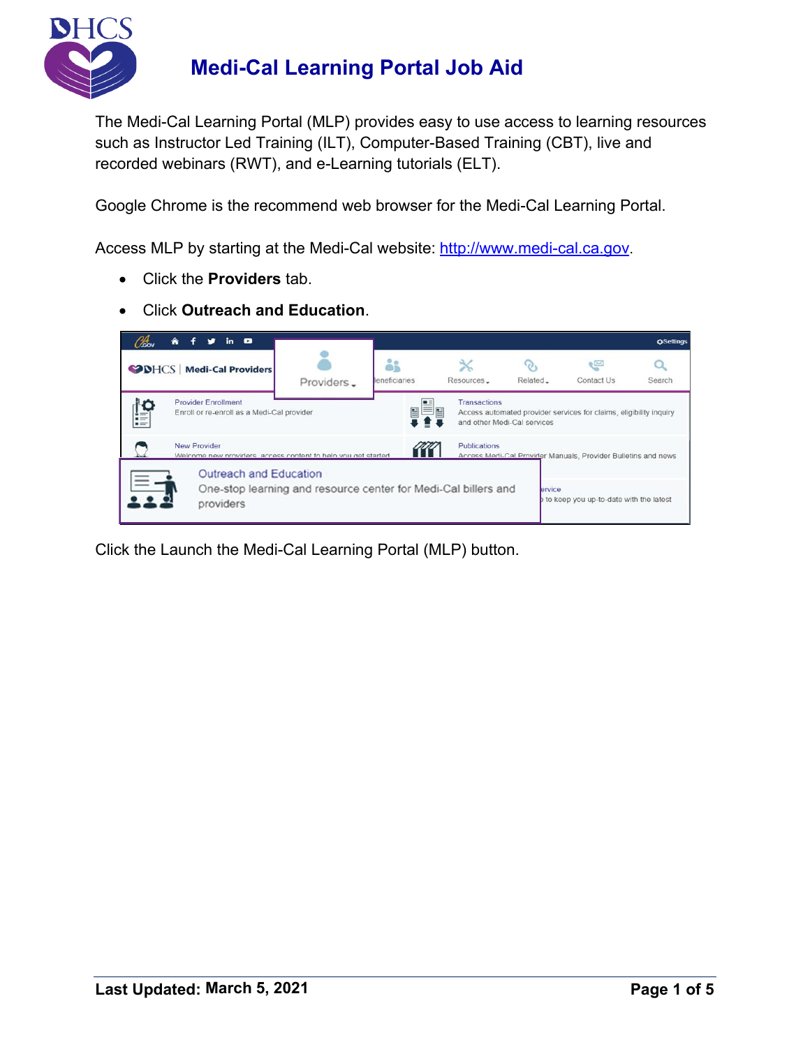

The Medi-Cal Learning Portal (MLP) provides easy to use access to learning resources such as Instructor Led Training (ILT), Computer-Based Training (CBT), live and recorded webinars (RWT), and e-Learning tutorials (ELT).

Google Chrome is the recommend web browser for the Medi-Cal Learning Portal.

Access MLP by starting at the Medi-Cal website: [http://www.medi-cal.ca.gov](http://www.medi-cal.ca.gov/).

- Click the **Providers** tab.
- Click **Outreach and Education**.

| Cov                                                                                                  | in <b>o</b><br>≪                                                                                      |            |                            |                                                                                                                          |          |                                                               | <b>OSettings</b> |  |  |
|------------------------------------------------------------------------------------------------------|-------------------------------------------------------------------------------------------------------|------------|----------------------------|--------------------------------------------------------------------------------------------------------------------------|----------|---------------------------------------------------------------|------------------|--|--|
|                                                                                                      | <b>SPINGS</b> Medi-Cal Providers                                                                      | Providers. | åå<br><b>Seneficiaries</b> | Resources.                                                                                                               | Related. | $\epsilon$<br>Contact Us                                      | Search           |  |  |
| H                                                                                                    | <b>Provider Enrollment</b><br>Enroll or re-enroll as a Medi-Cal provider                              |            |                            | <b>Transactions</b><br>Access automated provider services for claims, eligibility inquiry<br>and other Medi-Cal services |          |                                                               |                  |  |  |
| <b>New Provider</b><br>Publications<br>Welcome new providers, access content to help you get started |                                                                                                       |            |                            |                                                                                                                          |          | Access Medi-Cal Provider Manuals, Provider Bulletins and news |                  |  |  |
|                                                                                                      | Outreach and Education<br>One-stop learning and resource center for Medi-Cal billers and<br>providers |            |                            |                                                                                                                          | ervice   | to keep you up-to-date with the latest                        |                  |  |  |

Click the Launch the Medi-Cal Learning Portal (MLP) button.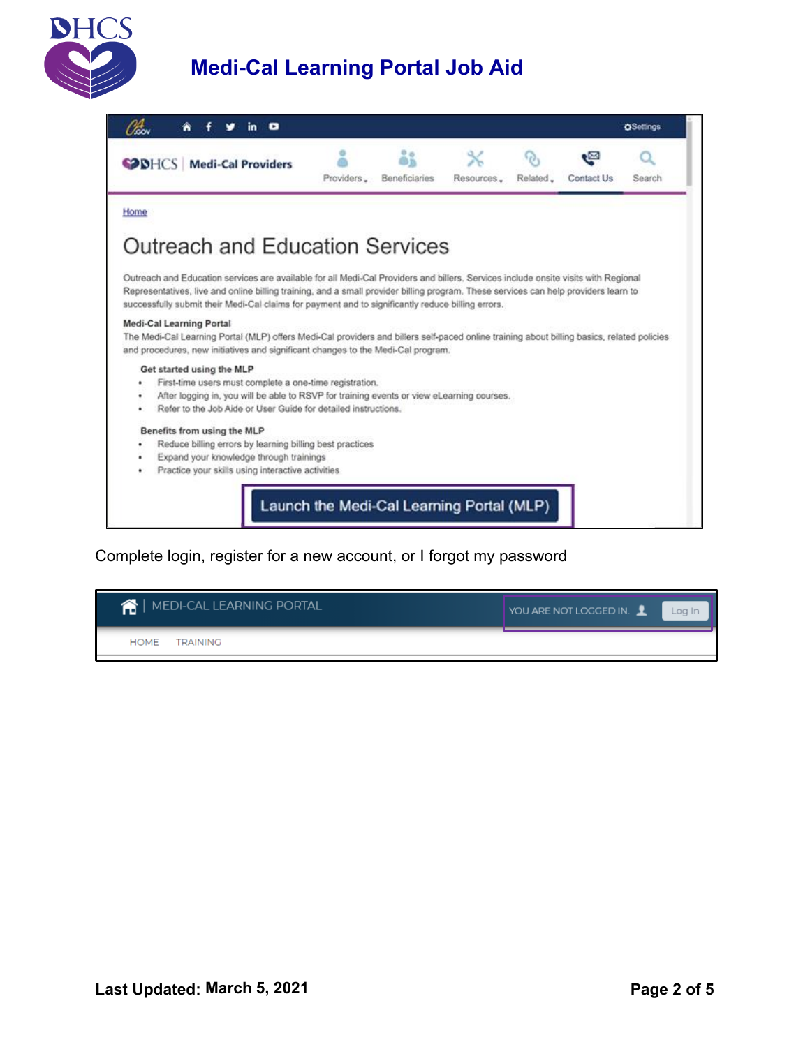



#### Complete login, register for a new account, or I forgot my password

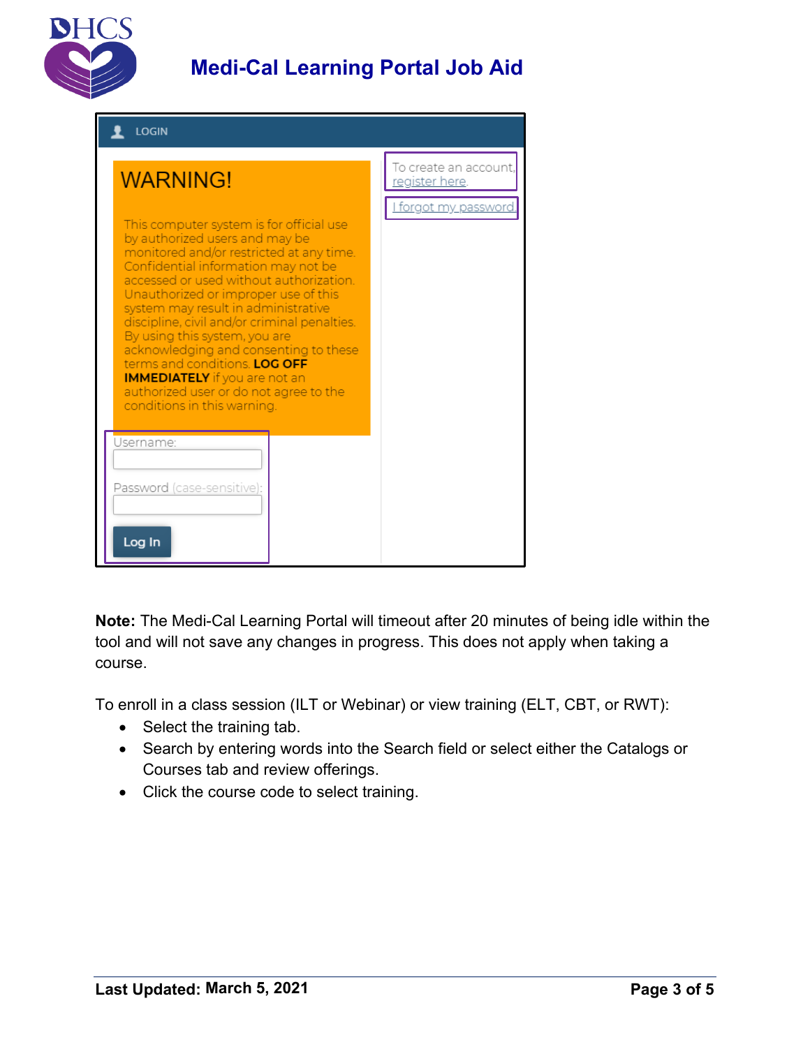

| <b>LOGIN</b>                                                                                                                                                                                                                                                                                                                                                                                                                                                                                                                                                        |                                        |  |  |  |  |  |  |
|---------------------------------------------------------------------------------------------------------------------------------------------------------------------------------------------------------------------------------------------------------------------------------------------------------------------------------------------------------------------------------------------------------------------------------------------------------------------------------------------------------------------------------------------------------------------|----------------------------------------|--|--|--|--|--|--|
| <b>WARNING!</b>                                                                                                                                                                                                                                                                                                                                                                                                                                                                                                                                                     | To create an account<br>register here. |  |  |  |  |  |  |
| This computer system is for official use<br>by authorized users and may be<br>monitored and/or restricted at any time.<br>Confidential information may not be<br>accessed or used without authorization.<br>Unauthorized or improper use of this<br>system may result in administrative<br>discipline, civil and/or criminal penalties.<br>By using this system, you are<br>acknowledging and consenting to these<br>terms and conditions. LOG OFF<br><b>IMMEDIATELY</b> if you are not an<br>authorized user or do not agree to the<br>conditions in this warning. | <u>I forgot my password</u>            |  |  |  |  |  |  |
| Username:<br>Password (case-sensitive):                                                                                                                                                                                                                                                                                                                                                                                                                                                                                                                             |                                        |  |  |  |  |  |  |
| Log In                                                                                                                                                                                                                                                                                                                                                                                                                                                                                                                                                              |                                        |  |  |  |  |  |  |

**Note:** The Medi-Cal Learning Portal will timeout after 20 minutes of being idle within the tool and will not save any changes in progress. This does not apply when taking a course.

To enroll in a class session (ILT or Webinar) or view training (ELT, CBT, or RWT):

- Select the training tab.
- Search by entering words into the Search field or select either the Catalogs or Courses tab and review offerings.
- Click the course code to select training.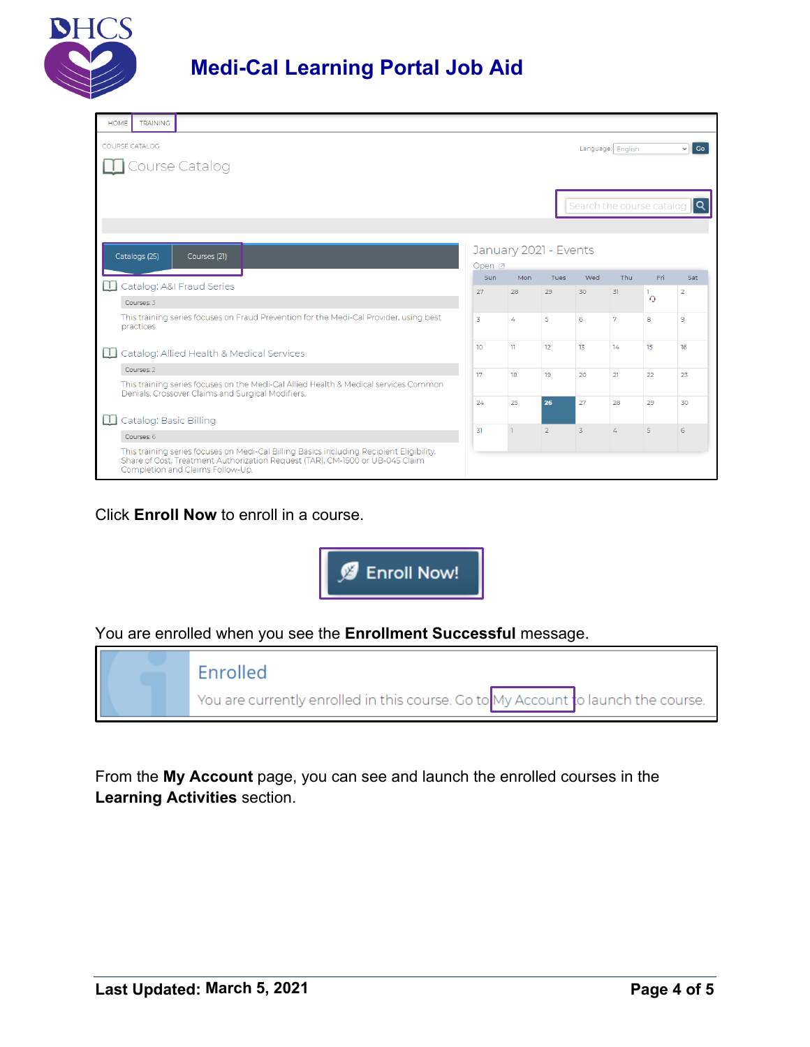

|                                            | <b>TRAINING</b><br><b>HOME</b>                                                                                                                                                                                |                                                                                                                                           |  |  |    |    |                     |              |                   |                                       |           |                      |                       |
|--------------------------------------------|---------------------------------------------------------------------------------------------------------------------------------------------------------------------------------------------------------------|-------------------------------------------------------------------------------------------------------------------------------------------|--|--|----|----|---------------------|--------------|-------------------|---------------------------------------|-----------|----------------------|-----------------------|
| <b>COURSE CATALOG</b><br>Language: English |                                                                                                                                                                                                               |                                                                                                                                           |  |  |    |    | $\vee$ Go           |              |                   |                                       |           |                      |                       |
|                                            | Course Catalog                                                                                                                                                                                                |                                                                                                                                           |  |  |    |    |                     |              |                   |                                       |           |                      |                       |
|                                            |                                                                                                                                                                                                               |                                                                                                                                           |  |  |    |    |                     |              |                   |                                       |           |                      |                       |
|                                            |                                                                                                                                                                                                               |                                                                                                                                           |  |  |    |    |                     |              |                   | Search the course catalog $\mathbf Q$ |           |                      |                       |
|                                            |                                                                                                                                                                                                               |                                                                                                                                           |  |  |    |    |                     |              |                   |                                       |           |                      |                       |
|                                            | January 2021 - Events<br>Catalogs (25)<br>Courses (21)                                                                                                                                                        |                                                                                                                                           |  |  |    |    |                     |              |                   |                                       |           |                      |                       |
|                                            |                                                                                                                                                                                                               |                                                                                                                                           |  |  |    |    | Open <sub>[2]</sub> |              |                   |                                       |           |                      |                       |
| ш                                          | Catalog: A&I Fraud Series                                                                                                                                                                                     |                                                                                                                                           |  |  |    |    | <b>Sun</b><br>27    | Mon<br>28    | <b>Tues</b><br>29 | Wed<br>30                             | Thu<br>31 | Fri.<br>$\mathbf{L}$ | Sat<br>$\overline{2}$ |
|                                            | Courses: 3                                                                                                                                                                                                    |                                                                                                                                           |  |  |    |    |                     |              |                   |                                       |           | $\Omega$             |                       |
|                                            | This training series focuses on Fraud Prevention for the Medi-Cal Provider, using best<br>practices.                                                                                                          |                                                                                                                                           |  |  |    |    | 3                   | 4            | 5                 | 6                                     | 7         | 8                    | 9                     |
| ш                                          | Catalog: Allied Health & Medical Services                                                                                                                                                                     |                                                                                                                                           |  |  |    |    | 10 <sup>°</sup>     | $\mathbf{u}$ | 12                | 13                                    | 14        | 15                   | 16                    |
|                                            | Courses: 2                                                                                                                                                                                                    |                                                                                                                                           |  |  |    |    | 17                  | 18           | 19                | 20                                    | 21        | 22                   | 23                    |
|                                            |                                                                                                                                                                                                               | This training series focuses on the Medi-Cal Allied Health & Medical services Common<br>Denials, Crossover Claims and Surgical Modifiers. |  |  |    |    |                     |              |                   |                                       |           |                      |                       |
|                                            |                                                                                                                                                                                                               |                                                                                                                                           |  |  |    | 24 | 25                  | 26           | 27                | 28                                    | 29        | 30                   |                       |
| Ш                                          | Catalog: Basic Billing                                                                                                                                                                                        |                                                                                                                                           |  |  | 31 |    |                     |              | 4                 | $\overline{5}$                        | 6         |                      |                       |
|                                            | Courses: 6                                                                                                                                                                                                    |                                                                                                                                           |  |  |    |    |                     | $\mathbf{L}$ |                   |                                       |           | $\overline{2}$       | $\mathbf{Z}$          |
|                                            | This training series focuses on Medi-Cal Billing Basics including Recipient Eligibility,<br>Share of Cost, Treatment Authorization Request (TAR), CM-1500 or UB-045 Claim<br>Completion and Claims Follow-Up. |                                                                                                                                           |  |  |    |    |                     |              |                   |                                       |           |                      |                       |

### Click **Enroll Now** to enroll in a course.



### You are enrolled when you see the **Enrollment Successful** message.



From the **My Account** page, you can see and launch the enrolled courses in the **Learning Activities** section.